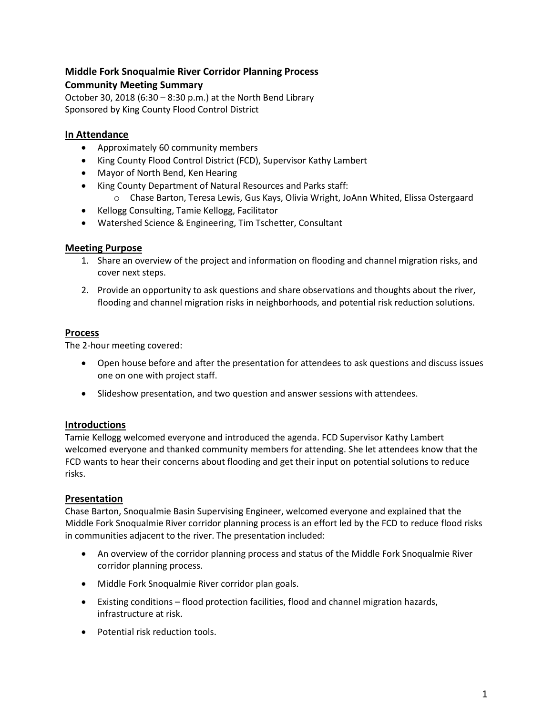## **Middle Fork Snoqualmie River Corridor Planning Process Community Meeting Summary**

October 30, 2018 (6:30 – 8:30 p.m.) at the North Bend Library Sponsored by King County Flood Control District

# **In Attendance**

- Approximately 60 community members
- King County Flood Control District (FCD), Supervisor Kathy Lambert
- Mayor of North Bend, Ken Hearing
- King County Department of Natural Resources and Parks staff:
	- o Chase Barton, Teresa Lewis, Gus Kays, Olivia Wright, JoAnn Whited, Elissa Ostergaard
- Kellogg Consulting, Tamie Kellogg, Facilitator
- Watershed Science & Engineering, Tim Tschetter, Consultant

## **Meeting Purpose**

- 1. Share an overview of the project and information on flooding and channel migration risks, and cover next steps.
- 2. Provide an opportunity to ask questions and share observations and thoughts about the river, flooding and channel migration risks in neighborhoods, and potential risk reduction solutions.

## **Process**

The 2-hour meeting covered:

- Open house before and after the presentation for attendees to ask questions and discuss issues one on one with project staff.
- Slideshow presentation, and two question and answer sessions with attendees.

## **Introductions**

Tamie Kellogg welcomed everyone and introduced the agenda. FCD Supervisor Kathy Lambert welcomed everyone and thanked community members for attending. She let attendees know that the FCD wants to hear their concerns about flooding and get their input on potential solutions to reduce risks.

## **Presentation**

Chase Barton, Snoqualmie Basin Supervising Engineer, welcomed everyone and explained that the Middle Fork Snoqualmie River corridor planning process is an effort led by the FCD to reduce flood risks in communities adjacent to the river. The presentation included:

- An overview of the corridor planning process and status of the Middle Fork Snoqualmie River corridor planning process.
- Middle Fork Snoqualmie River corridor plan goals.
- Existing conditions flood protection facilities, flood and channel migration hazards, infrastructure at risk.
- Potential risk reduction tools.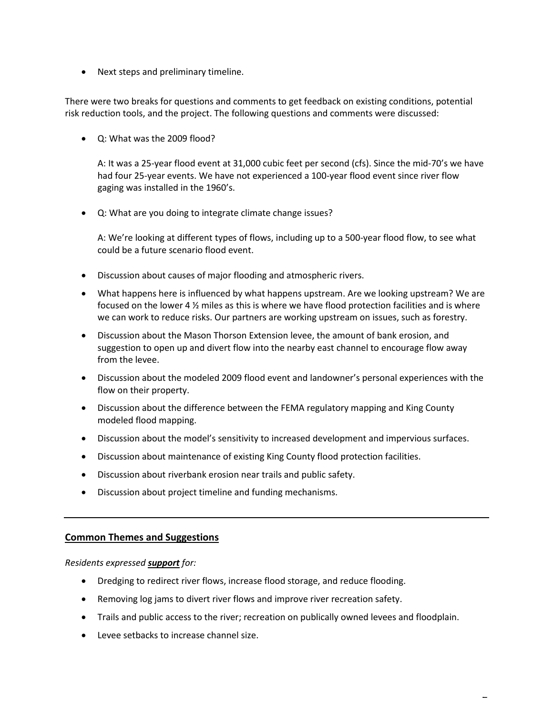• Next steps and preliminary timeline.

There were two breaks for questions and comments to get feedback on existing conditions, potential risk reduction tools, and the project. The following questions and comments were discussed:

Q: What was the 2009 flood?

A: It was a 25-year flood event at 31,000 cubic feet per second (cfs). Since the mid-70's we have had four 25-year events. We have not experienced a 100-year flood event since river flow gaging was installed in the 1960's.

Q: What are you doing to integrate climate change issues?

A: We're looking at different types of flows, including up to a 500-year flood flow, to see what could be a future scenario flood event.

- Discussion about causes of major flooding and atmospheric rivers.
- What happens here is influenced by what happens upstream. Are we looking upstream? We are focused on the lower 4 ½ miles as this is where we have flood protection facilities and is where we can work to reduce risks. Our partners are working upstream on issues, such as forestry.
- Discussion about the Mason Thorson Extension levee, the amount of bank erosion, and suggestion to open up and divert flow into the nearby east channel to encourage flow away from the levee.
- Discussion about the modeled 2009 flood event and landowner's personal experiences with the flow on their property.
- Discussion about the difference between the FEMA regulatory mapping and King County modeled flood mapping.
- Discussion about the model's sensitivity to increased development and impervious surfaces.
- Discussion about maintenance of existing King County flood protection facilities.
- Discussion about riverbank erosion near trails and public safety.
- Discussion about project timeline and funding mechanisms.

#### **Common Themes and Suggestions**

*Residents expressed support for:*

- Dredging to redirect river flows, increase flood storage, and reduce flooding.
- Removing log jams to divert river flows and improve river recreation safety.
- Trails and public access to the river; recreation on publically owned levees and floodplain.
- Levee setbacks to increase channel size.